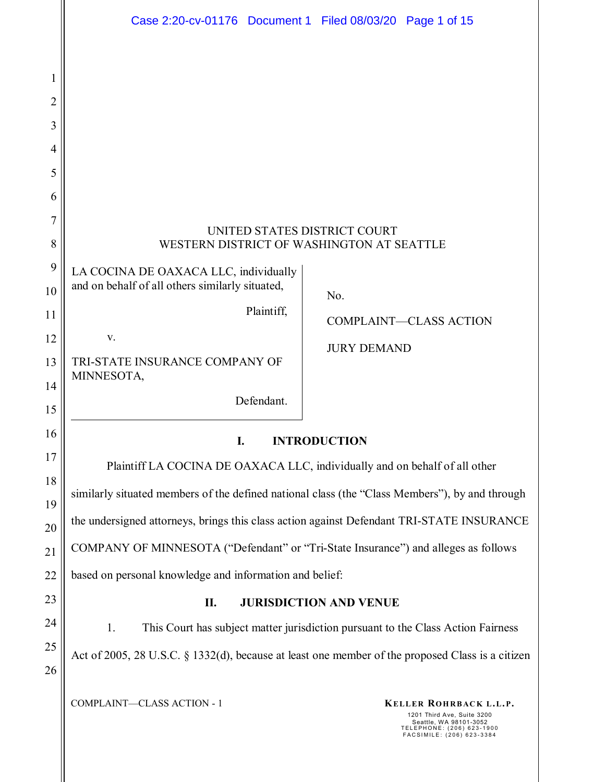|          | Case 2:20-cv-01176 Document 1 Filed 08/03/20 Page 1 of 15                                        |  |  |  |
|----------|--------------------------------------------------------------------------------------------------|--|--|--|
|          |                                                                                                  |  |  |  |
| 1        |                                                                                                  |  |  |  |
| 2        |                                                                                                  |  |  |  |
| 3        |                                                                                                  |  |  |  |
| 4        |                                                                                                  |  |  |  |
| 5        |                                                                                                  |  |  |  |
| 6        |                                                                                                  |  |  |  |
| 7        | UNITED STATES DISTRICT COURT                                                                     |  |  |  |
| 8        | WESTERN DISTRICT OF WASHINGTON AT SEATTLE                                                        |  |  |  |
| 9        | LA COCINA DE OAXACA LLC, individually                                                            |  |  |  |
| 10       | and on behalf of all others similarly situated,<br>No.                                           |  |  |  |
| 11       | Plaintiff,<br><b>COMPLAINT-CLASS ACTION</b>                                                      |  |  |  |
| 12       | V.<br><b>JURY DEMAND</b>                                                                         |  |  |  |
| 13       | TRI-STATE INSURANCE COMPANY OF<br>MINNESOTA,                                                     |  |  |  |
| 14<br>15 | Defendant.                                                                                       |  |  |  |
| 16       |                                                                                                  |  |  |  |
| 17       | I.<br><b>INTRODUCTION</b>                                                                        |  |  |  |
| 18       | Plaintiff LA COCINA DE OAXACA LLC, individually and on behalf of all other                       |  |  |  |
| 19       | similarly situated members of the defined national class (the "Class Members"), by and through   |  |  |  |
| 20       | the undersigned attorneys, brings this class action against Defendant TRI-STATE INSURANCE        |  |  |  |
| 21       | COMPANY OF MINNESOTA ("Defendant" or "Tri-State Insurance") and alleges as follows               |  |  |  |
| 22       | based on personal knowledge and information and belief:                                          |  |  |  |
| 23       | <b>JURISDICTION AND VENUE</b><br>П.                                                              |  |  |  |
| 24       | 1.<br>This Court has subject matter jurisdiction pursuant to the Class Action Fairness           |  |  |  |
| 25       | Act of 2005, 28 U.S.C. § 1332(d), because at least one member of the proposed Class is a citizen |  |  |  |
| 26       |                                                                                                  |  |  |  |
|          | COMPLAINT-CLASS ACTION - 1<br>KELLER ROHRBACK L.L.P.<br>1201 Third Ave, Suite 3200               |  |  |  |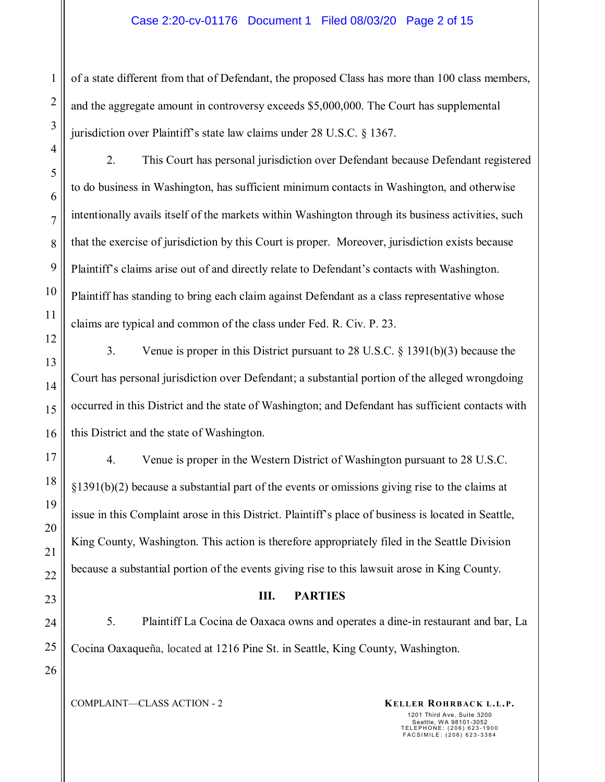#### Case 2:20-cv-01176 Document 1 Filed 08/03/20 Page 2 of 15

of a state different from that of Defendant, the proposed Class has more than 100 class members, and the aggregate amount in controversy exceeds \$5,000,000. The Court has supplemental jurisdiction over Plaintiff's state law claims under 28 U.S.C. § 1367.

2. This Court has personal jurisdiction over Defendant because Defendant registered to do business in Washington, has sufficient minimum contacts in Washington, and otherwise intentionally avails itself of the markets within Washington through its business activities, such that the exercise of jurisdiction by this Court is proper. Moreover, jurisdiction exists because Plaintiff's claims arise out of and directly relate to Defendant's contacts with Washington. Plaintiff has standing to bring each claim against Defendant as a class representative whose claims are typical and common of the class under Fed. R. Civ. P. 23.

3. Venue is proper in this District pursuant to 28 U.S.C. § 1391(b)(3) because the Court has personal jurisdiction over Defendant; a substantial portion of the alleged wrongdoing occurred in this District and the state of Washington; and Defendant has sufficient contacts with this District and the state of Washington.

4. Venue is proper in the Western District of Washington pursuant to 28 U.S.C. §1391(b)(2) because a substantial part of the events or omissions giving rise to the claims at issue in this Complaint arose in this District. Plaintiff's place of business is located in Seattle, King County, Washington. This action is therefore appropriately filed in the Seattle Division because a substantial portion of the events giving rise to this lawsuit arose in King County.

### **III. PARTIES**

5. Plaintiff La Cocina de Oaxaca owns and operates a dine-in restaurant and bar, La Cocina Oaxaqueña, located at 1216 Pine St. in Seattle, King County, Washington.

COMPLAINT—CLASS ACTION - 2 **KELLER ROHRBACK L.L.P.**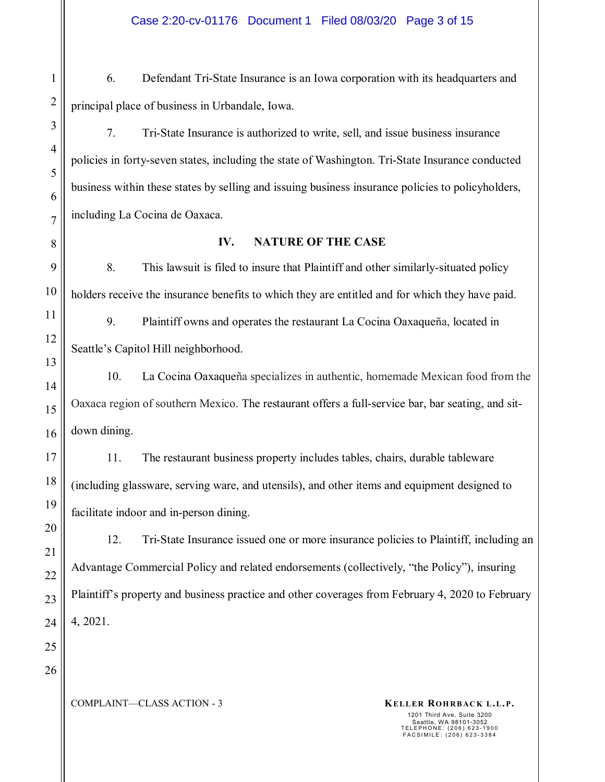6. Defendant Tri-State Insurance is an Iowa corporation with its headquarters and principal place of business in Urbandale, Iowa.

7. Tri-State Insurance is authorized to write, sell, and issue business insurance policies in forty-seven states, including the state of Washington. Tri-State Insurance conducted business within these states by selling and issuing business insurance policies to policyholders, including La Cocina de Oaxaca.

### **IV. NATURE OF THE CASE**

8. This lawsuit is filed to insure that Plaintiff and other similarly-situated policy holders receive the insurance benefits to which they are entitled and for which they have paid.

9. Plaintiff owns and operates the restaurant La Cocina Oaxaqueña, located in Seattle's Capitol Hill neighborhood.

10. La Cocina Oaxaqueña specializes in authentic, homemade Mexican food from the Oaxaca region of southern Mexico. The restaurant offers a full-service bar, bar seating, and sitdown dining.

11. The restaurant business property includes tables, chairs, durable tableware (including glassware, serving ware, and utensils), and other items and equipment designed to facilitate indoor and in-person dining.

12. Tri-State Insurance issued one or more insurance policies to Plaintiff, including an Advantage Commercial Policy and related endorsements (collectively, "the Policy"), insuring Plaintiff's property and business practice and other coverages from February 4, 2020 to February 4, 2021.

25 26

1

2

3

4

5

6

7

8

9

10

11

12

13

14

15

16

17

18

19

20

21

22

23

24

COMPLAINT—CLASS ACTION - 3 **KELLER ROHRBACK L.L.P.**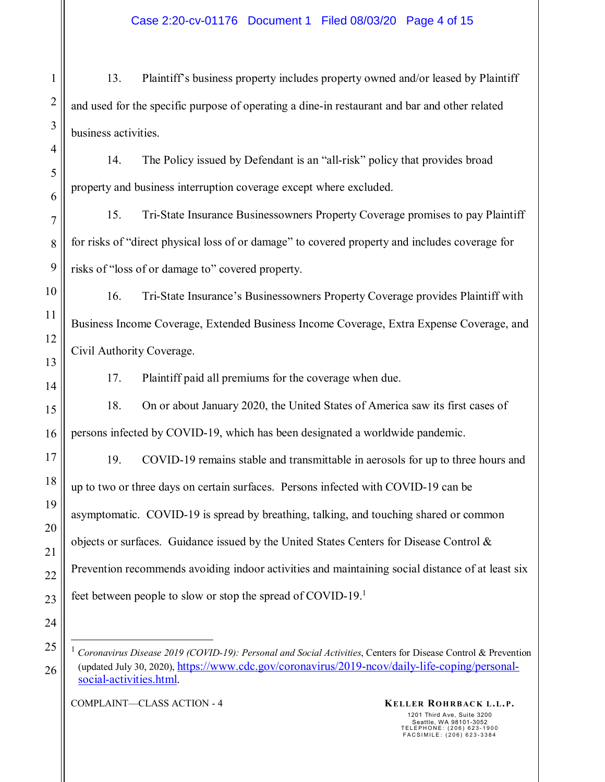13. Plaintiff's business property includes property owned and/or leased by Plaintiff and used for the specific purpose of operating a dine-in restaurant and bar and other related business activities.

14. The Policy issued by Defendant is an "all-risk" policy that provides broad property and business interruption coverage except where excluded.

15. Tri-State Insurance Businessowners Property Coverage promises to pay Plaintiff for risks of "direct physical loss of or damage" to covered property and includes coverage for risks of "loss of or damage to" covered property.

16. Tri-State Insurance's Businessowners Property Coverage provides Plaintiff with Business Income Coverage, Extended Business Income Coverage, Extra Expense Coverage, and Civil Authority Coverage.

17. Plaintiff paid all premiums for the coverage when due.

18. On or about January 2020, the United States of America saw its first cases of persons infected by COVID-19, which has been designated a worldwide pandemic.

19. COVID-19 remains stable and transmittable in aerosols for up to three hours and up to two or three days on certain surfaces. Persons infected with COVID-19 can be asymptomatic. COVID-19 is spread by breathing, talking, and touching shared or common objects or surfaces. Guidance issued by the United States Centers for Disease Control  $\&$ Prevention recommends avoiding indoor activities and maintaining social distance of at least six feet between people to slow or stop the spread of COVID-19.<sup>1</sup>

COMPLAINT—CLASS ACTION - 4 **KELLER ROHRBACK L.L.P.** 

<sup>&</sup>lt;sup>1</sup> *Coronavirus Disease 2019 (COVID-19): Personal and Social Activities*, Centers for Disease Control & Prevention (updated July 30, 2020), https://www.cdc.gov/coronavirus/2019-ncov/daily-life-coping/personalsocial-activities.html.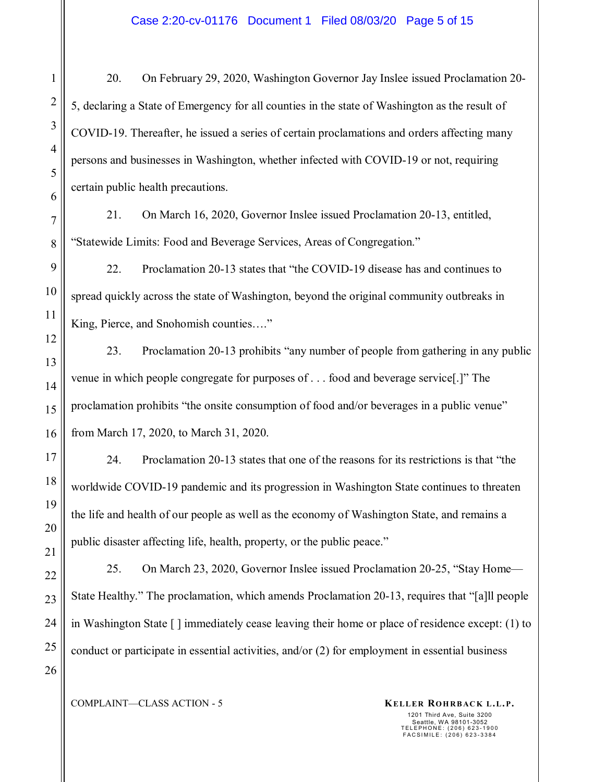20. On February 29, 2020, Washington Governor Jay Inslee issued Proclamation 20- 5, declaring a State of Emergency for all counties in the state of Washington as the result of COVID-19. Thereafter, he issued a series of certain proclamations and orders affecting many persons and businesses in Washington, whether infected with COVID-19 or not, requiring certain public health precautions.

21. On March 16, 2020, Governor Inslee issued Proclamation 20-13, entitled, "Statewide Limits: Food and Beverage Services, Areas of Congregation."

22. Proclamation 20-13 states that "the COVID-19 disease has and continues to spread quickly across the state of Washington, beyond the original community outbreaks in King, Pierce, and Snohomish counties…."

23. Proclamation 20-13 prohibits "any number of people from gathering in any public venue in which people congregate for purposes of . . . food and beverage service[.]" The proclamation prohibits "the onsite consumption of food and/or beverages in a public venue" from March 17, 2020, to March 31, 2020.

24. Proclamation 20-13 states that one of the reasons for its restrictions is that "the worldwide COVID-19 pandemic and its progression in Washington State continues to threaten the life and health of our people as well as the economy of Washington State, and remains a public disaster affecting life, health, property, or the public peace."

25. On March 23, 2020, Governor Inslee issued Proclamation 20-25, "Stay Home— State Healthy." The proclamation, which amends Proclamation 20-13, requires that "[a]ll people in Washington State [ ] immediately cease leaving their home or place of residence except: (1) to conduct or participate in essential activities, and/or (2) for employment in essential business

1

2

3

4

5

6

7

8

9

10

11

12

13

14

15

16

17

18

19

20

21

22

23

24

25

26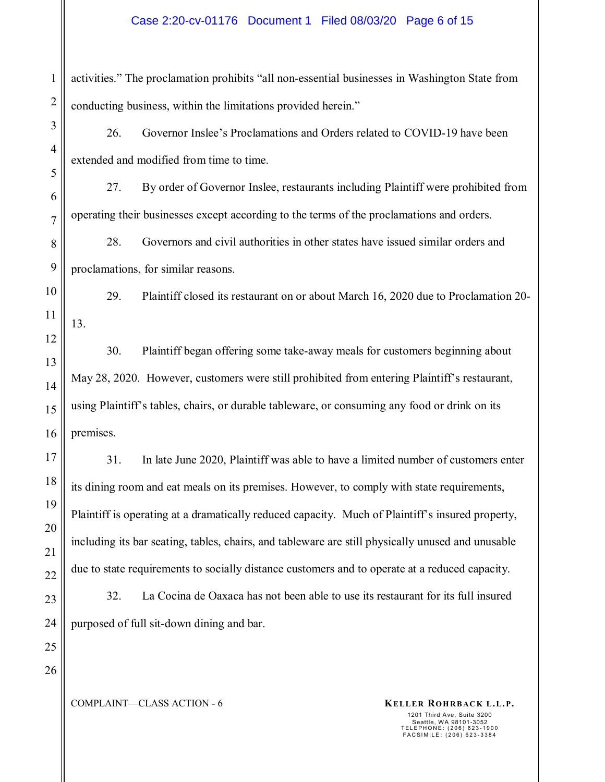### Case 2:20-cv-01176 Document 1 Filed 08/03/20 Page 6 of 15

1 2 activities." The proclamation prohibits "all non-essential businesses in Washington State from conducting business, within the limitations provided herein."

26. Governor Inslee's Proclamations and Orders related to COVID-19 have been extended and modified from time to time.

27. By order of Governor Inslee, restaurants including Plaintiff were prohibited from operating their businesses except according to the terms of the proclamations and orders.

28. Governors and civil authorities in other states have issued similar orders and proclamations, for similar reasons.

29. Plaintiff closed its restaurant on or about March 16, 2020 due to Proclamation 20- 13.

30. Plaintiff began offering some take-away meals for customers beginning about May 28, 2020. However, customers were still prohibited from entering Plaintiff's restaurant, using Plaintiff's tables, chairs, or durable tableware, or consuming any food or drink on its premises.

31. In late June 2020, Plaintiff was able to have a limited number of customers enter its dining room and eat meals on its premises. However, to comply with state requirements, Plaintiff is operating at a dramatically reduced capacity. Much of Plaintiff's insured property, including its bar seating, tables, chairs, and tableware are still physically unused and unusable due to state requirements to socially distance customers and to operate at a reduced capacity.

32. La Cocina de Oaxaca has not been able to use its restaurant for its full insured purposed of full sit-down dining and bar.

3

4

5

6

7

8

9

10

11

12

13

14

15

16

17

18

19

20

21

COMPLAINT—CLASS ACTION - 6 **KELLER ROHRBACK L.L.P.**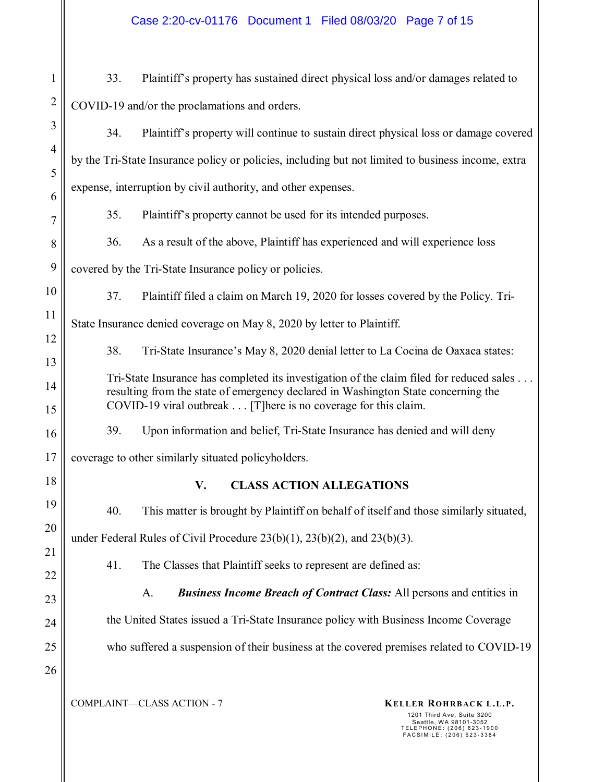1 2 33. Plaintiff's property has sustained direct physical loss and/or damages related to COVID-19 and/or the proclamations and orders.

34. Plaintiff's property will continue to sustain direct physical loss or damage covered by the Tri-State Insurance policy or policies, including but not limited to business income, extra expense, interruption by civil authority, and other expenses.

35. Plaintiff's property cannot be used for its intended purposes.

36. As a result of the above, Plaintiff has experienced and will experience loss

covered by the Tri-State Insurance policy or policies.

3

4

5

6

7

8

9

10

11

12

13

14

15

16

17

18

19

20

21

22

23

24

25

26

37. Plaintiff filed a claim on March 19, 2020 for losses covered by the Policy. Tri-

State Insurance denied coverage on May 8, 2020 by letter to Plaintiff.

38. Tri-State Insurance's May 8, 2020 denial letter to La Cocina de Oaxaca states:

Tri-State Insurance has completed its investigation of the claim filed for reduced sales . . . resulting from the state of emergency declared in Washington State concerning the COVID-19 viral outbreak . . . [T]here is no coverage for this claim.

39. Upon information and belief, Tri-State Insurance has denied and will deny

coverage to other similarly situated policyholders.

## **V. CLASS ACTION ALLEGATIONS**

40. This matter is brought by Plaintiff on behalf of itself and those similarly situated,

under Federal Rules of Civil Procedure 23(b)(1), 23(b)(2), and 23(b)(3).

41. The Classes that Plaintiff seeks to represent are defined as:

A. *Business Income Breach of Contract Class:* All persons and entities in the United States issued a Tri-State Insurance policy with Business Income Coverage

who suffered a suspension of their business at the covered premises related to COVID-19

COMPLAINT—CLASS ACTION - 7 **KELLER ROHRBACK L.L.P.**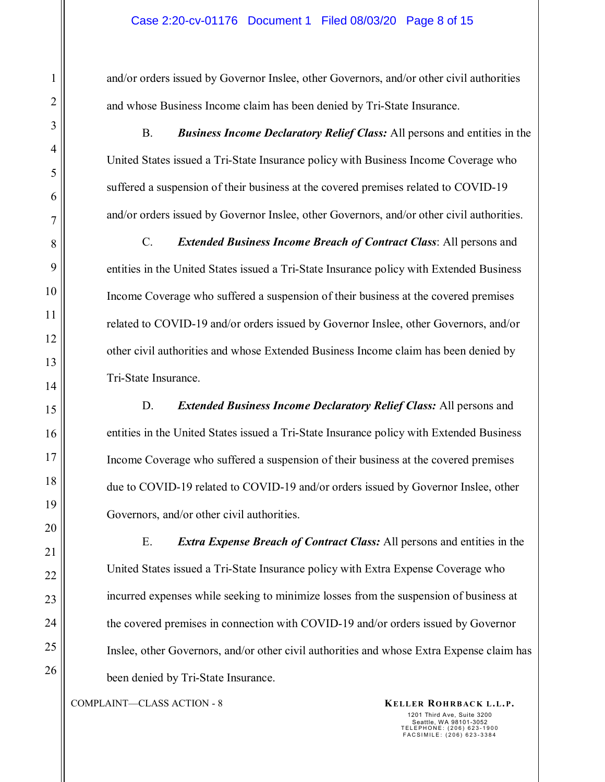and/or orders issued by Governor Inslee, other Governors, and/or other civil authorities and whose Business Income claim has been denied by Tri-State Insurance.

B. *Business Income Declaratory Relief Class:* All persons and entities in the United States issued a Tri-State Insurance policy with Business Income Coverage who suffered a suspension of their business at the covered premises related to COVID-19 and/or orders issued by Governor Inslee, other Governors, and/or other civil authorities.

C. *Extended Business Income Breach of Contract Class*: All persons and entities in the United States issued a Tri-State Insurance policy with Extended Business Income Coverage who suffered a suspension of their business at the covered premises related to COVID-19 and/or orders issued by Governor Inslee, other Governors, and/or other civil authorities and whose Extended Business Income claim has been denied by Tri-State Insurance.

D. *Extended Business Income Declaratory Relief Class:* All persons and entities in the United States issued a Tri-State Insurance policy with Extended Business Income Coverage who suffered a suspension of their business at the covered premises due to COVID-19 related to COVID-19 and/or orders issued by Governor Inslee, other Governors, and/or other civil authorities.

E. *Extra Expense Breach of Contract Class:* All persons and entities in the United States issued a Tri-State Insurance policy with Extra Expense Coverage who incurred expenses while seeking to minimize losses from the suspension of business at the covered premises in connection with COVID-19 and/or orders issued by Governor Inslee, other Governors, and/or other civil authorities and whose Extra Expense claim has been denied by Tri-State Insurance.

COMPLAINT—CLASS ACTION - 8 **KELLER ROHRBACK L.L.P.**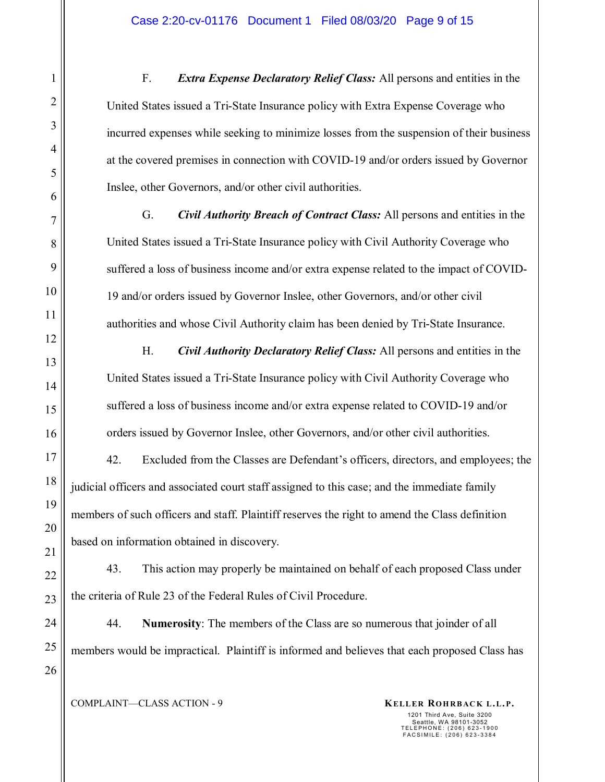F. *Extra Expense Declaratory Relief Class:* All persons and entities in the United States issued a Tri-State Insurance policy with Extra Expense Coverage who incurred expenses while seeking to minimize losses from the suspension of their business at the covered premises in connection with COVID-19 and/or orders issued by Governor Inslee, other Governors, and/or other civil authorities.

G. *Civil Authority Breach of Contract Class:* All persons and entities in the United States issued a Tri-State Insurance policy with Civil Authority Coverage who suffered a loss of business income and/or extra expense related to the impact of COVID-19 and/or orders issued by Governor Inslee, other Governors, and/or other civil authorities and whose Civil Authority claim has been denied by Tri-State Insurance.

H. *Civil Authority Declaratory Relief Class:* All persons and entities in the United States issued a Tri-State Insurance policy with Civil Authority Coverage who suffered a loss of business income and/or extra expense related to COVID-19 and/or orders issued by Governor Inslee, other Governors, and/or other civil authorities.

42. Excluded from the Classes are Defendant's officers, directors, and employees; the judicial officers and associated court staff assigned to this case; and the immediate family members of such officers and staff. Plaintiff reserves the right to amend the Class definition based on information obtained in discovery.

43. This action may properly be maintained on behalf of each proposed Class under the criteria of Rule 23 of the Federal Rules of Civil Procedure.

44. **Numerosity**: The members of the Class are so numerous that joinder of all members would be impractical. Plaintiff is informed and believes that each proposed Class has

COMPLAINT—CLASS ACTION - 9 **KELLER ROHRBACK L.L.P.** 

1

2

3

4

5

6

7

8

9

10

11

12

13

14

15

16

17

18

19

20

21

22

23

24

25

26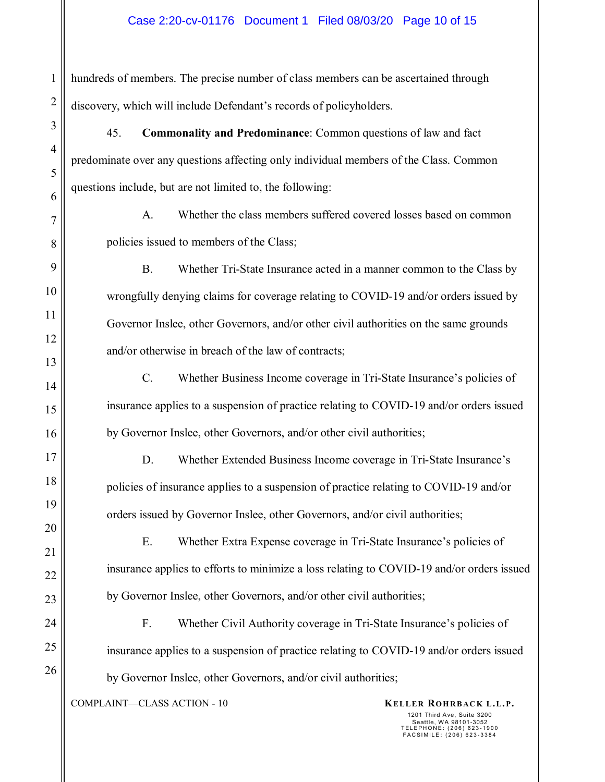hundreds of members. The precise number of class members can be ascertained through discovery, which will include Defendant's records of policyholders.

45. **Commonality and Predominance**: Common questions of law and fact predominate over any questions affecting only individual members of the Class. Common questions include, but are not limited to, the following:

A. Whether the class members suffered covered losses based on common policies issued to members of the Class;

B. Whether Tri-State Insurance acted in a manner common to the Class by wrongfully denying claims for coverage relating to COVID-19 and/or orders issued by Governor Inslee, other Governors, and/or other civil authorities on the same grounds and/or otherwise in breach of the law of contracts;

C. Whether Business Income coverage in Tri-State Insurance's policies of insurance applies to a suspension of practice relating to COVID-19 and/or orders issued by Governor Inslee, other Governors, and/or other civil authorities;

D. Whether Extended Business Income coverage in Tri-State Insurance's policies of insurance applies to a suspension of practice relating to COVID-19 and/or orders issued by Governor Inslee, other Governors, and/or civil authorities;

E. Whether Extra Expense coverage in Tri-State Insurance's policies of insurance applies to efforts to minimize a loss relating to COVID-19 and/or orders issued by Governor Inslee, other Governors, and/or other civil authorities;

F. Whether Civil Authority coverage in Tri-State Insurance's policies of insurance applies to a suspension of practice relating to COVID-19 and/or orders issued by Governor Inslee, other Governors, and/or civil authorities;

COMPLAINT—CLASS ACTION - 10 **KELLER ROHRBACK L.L.P.** 

1201 Third Ave, Suite 3200

Seattle, WA 98101-3052 TELEPHONE: (206) 623-1900 FACSIMILE: (206) 623-3384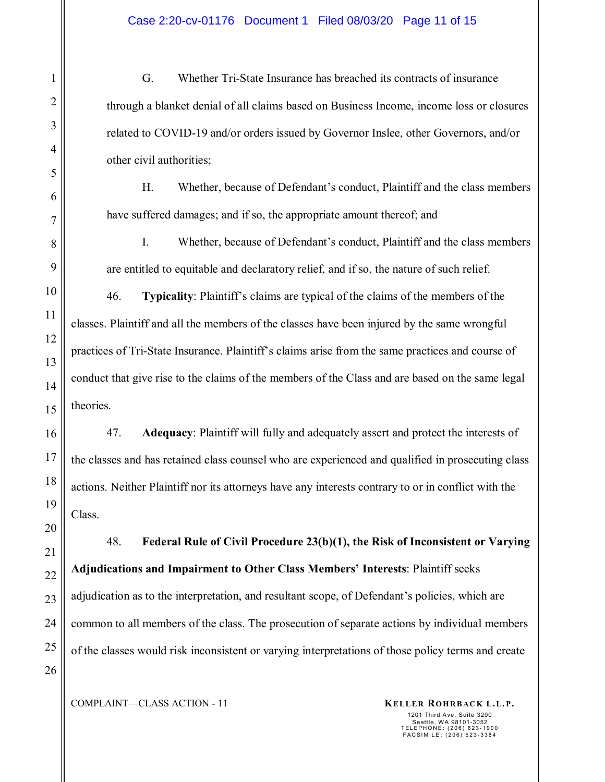G. Whether Tri-State Insurance has breached its contracts of insurance through a blanket denial of all claims based on Business Income, income loss or closures related to COVID-19 and/or orders issued by Governor Inslee, other Governors, and/or other civil authorities;

H. Whether, because of Defendant's conduct, Plaintiff and the class members have suffered damages; and if so, the appropriate amount thereof; and

I. Whether, because of Defendant's conduct, Plaintiff and the class members are entitled to equitable and declaratory relief, and if so, the nature of such relief.

46. **Typicality**: Plaintiff's claims are typical of the claims of the members of the classes. Plaintiff and all the members of the classes have been injured by the same wrongful practices of Tri-State Insurance. Plaintiff's claims arise from the same practices and course of conduct that give rise to the claims of the members of the Class and are based on the same legal theories.

47. **Adequacy**: Plaintiff will fully and adequately assert and protect the interests of the classes and has retained class counsel who are experienced and qualified in prosecuting class actions. Neither Plaintiff nor its attorneys have any interests contrary to or in conflict with the Class.

48. **Federal Rule of Civil Procedure 23(b)(1), the Risk of Inconsistent or Varying Adjudications and Impairment to Other Class Members' Interests**: Plaintiff seeks adjudication as to the interpretation, and resultant scope, of Defendant's policies, which are common to all members of the class. The prosecution of separate actions by individual members of the classes would risk inconsistent or varying interpretations of those policy terms and create

1

2

3

4

5

6

7

COMPLAINT—CLASS ACTION - 11 **KELLER ROHRBACK L.L.P.**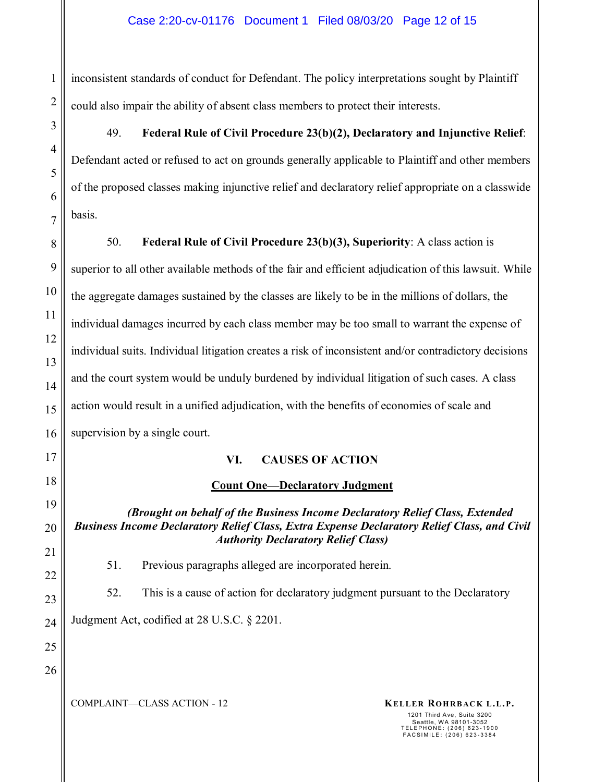inconsistent standards of conduct for Defendant. The policy interpretations sought by Plaintiff could also impair the ability of absent class members to protect their interests.

# 49. **Federal Rule of Civil Procedure 23(b)(2), Declaratory and Injunctive Relief**:

Defendant acted or refused to act on grounds generally applicable to Plaintiff and other members of the proposed classes making injunctive relief and declaratory relief appropriate on a classwide basis.

50. **Federal Rule of Civil Procedure 23(b)(3), Superiority**: A class action is superior to all other available methods of the fair and efficient adjudication of this lawsuit. While the aggregate damages sustained by the classes are likely to be in the millions of dollars, the individual damages incurred by each class member may be too small to warrant the expense of individual suits. Individual litigation creates a risk of inconsistent and/or contradictory decisions and the court system would be unduly burdened by individual litigation of such cases. A class action would result in a unified adjudication, with the benefits of economies of scale and supervision by a single court.

## **VI. CAUSES OF ACTION**

## **Count One—Declaratory Judgment**

*(Brought on behalf of the Business Income Declaratory Relief Class, Extended Business Income Declaratory Relief Class, Extra Expense Declaratory Relief Class, and Civil Authority Declaratory Relief Class)* 

51. Previous paragraphs alleged are incorporated herein.

52. This is a cause of action for declaratory judgment pursuant to the Declaratory

Judgment Act, codified at 28 U.S.C. § 2201.

25 26

1

2

3

4

5

6

7

8

9

10

11

12

13

14

15

16

17

18

19

20

21

22

23

24

COMPLAINT—CLASS ACTION - 12 **KELLER ROHRBACK L.L.P.**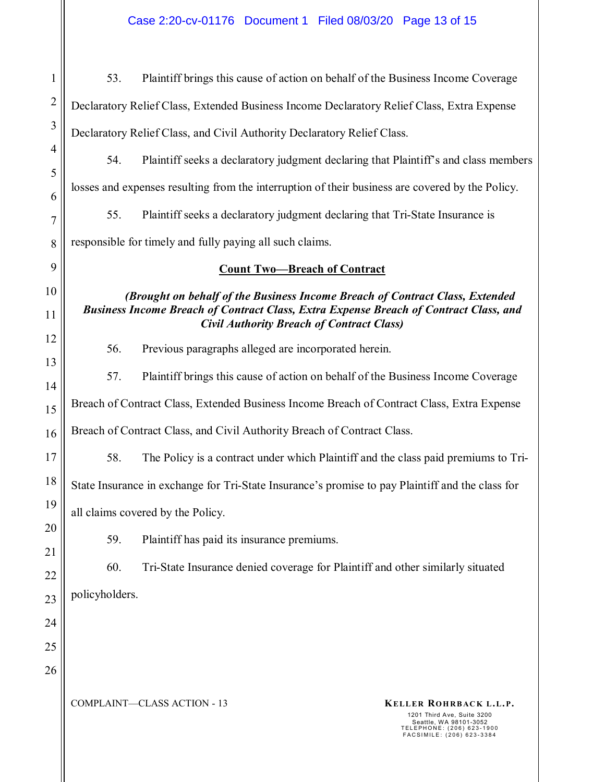Case 2:20-cv-01176 Document 1 Filed 08/03/20 Page 13 of 15

COMPLAINT—CLASS ACTION - 13 **KELLER ROHRBACK L.L.P.**  1201 Third Ave, Suite 3200 Seattle, WA 98101-3052 TELEPHONE: (206) 623-1900 FACSIMILE: (206) 623-3384 1 2 3 4 5 6 7 8 9 10 11 12 13 14 15 16 17 18 19 20 21 22 23 24 25 26 53. Plaintiff brings this cause of action on behalf of the Business Income Coverage Declaratory Relief Class, Extended Business Income Declaratory Relief Class, Extra Expense Declaratory Relief Class, and Civil Authority Declaratory Relief Class. 54. Plaintiff seeks a declaratory judgment declaring that Plaintiff's and class members losses and expenses resulting from the interruption of their business are covered by the Policy. 55. Plaintiff seeks a declaratory judgment declaring that Tri-State Insurance is responsible for timely and fully paying all such claims. **Count Two—Breach of Contract**  *(Brought on behalf of the Business Income Breach of Contract Class, Extended Business Income Breach of Contract Class, Extra Expense Breach of Contract Class, and Civil Authority Breach of Contract Class)*  56. Previous paragraphs alleged are incorporated herein. 57. Plaintiff brings this cause of action on behalf of the Business Income Coverage Breach of Contract Class, Extended Business Income Breach of Contract Class, Extra Expense Breach of Contract Class, and Civil Authority Breach of Contract Class. 58. The Policy is a contract under which Plaintiff and the class paid premiums to Tri-State Insurance in exchange for Tri-State Insurance's promise to pay Plaintiff and the class for all claims covered by the Policy. 59. Plaintiff has paid its insurance premiums. 60. Tri-State Insurance denied coverage for Plaintiff and other similarly situated policyholders.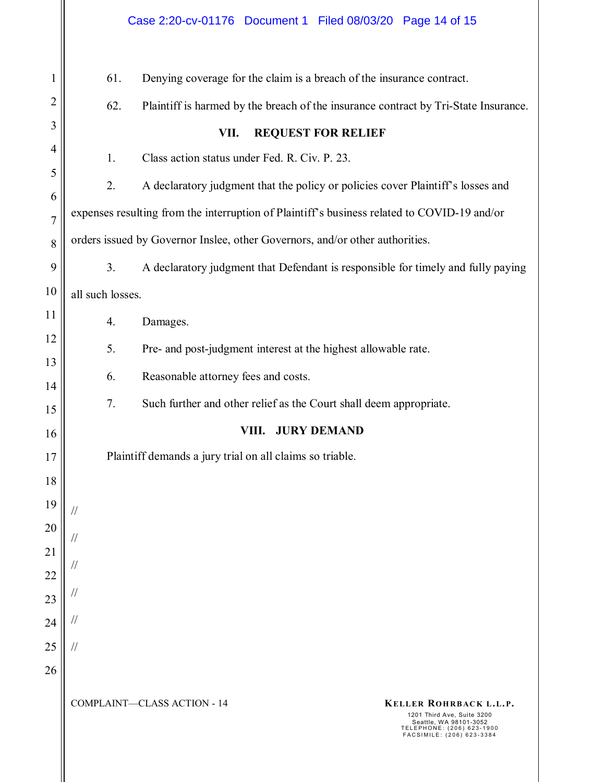| $\mathbf{1}$   | 61.                                                                                         | Denying coverage for the claim is a breach of the insurance contract.                                                                                                          |  |  |  |
|----------------|---------------------------------------------------------------------------------------------|--------------------------------------------------------------------------------------------------------------------------------------------------------------------------------|--|--|--|
| $\overline{2}$ | 62.<br>Plaintiff is harmed by the breach of the insurance contract by Tri-State Insurance.  |                                                                                                                                                                                |  |  |  |
| 3              | VII.<br><b>REQUEST FOR RELIEF</b>                                                           |                                                                                                                                                                                |  |  |  |
| $\overline{4}$ | 1.                                                                                          | Class action status under Fed. R. Civ. P. 23.                                                                                                                                  |  |  |  |
| 5              | 2.                                                                                          | A declaratory judgment that the policy or policies cover Plaintiff's losses and                                                                                                |  |  |  |
| 6              | expenses resulting from the interruption of Plaintiff's business related to COVID-19 and/or |                                                                                                                                                                                |  |  |  |
| $\overline{7}$ |                                                                                             |                                                                                                                                                                                |  |  |  |
| 8              | orders issued by Governor Inslee, other Governors, and/or other authorities.                |                                                                                                                                                                                |  |  |  |
| 9              | A declaratory judgment that Defendant is responsible for timely and fully paying<br>3.      |                                                                                                                                                                                |  |  |  |
| 10             | all such losses.                                                                            |                                                                                                                                                                                |  |  |  |
| 11             | 4.                                                                                          | Damages.                                                                                                                                                                       |  |  |  |
| 12             | 5.                                                                                          | Pre- and post-judgment interest at the highest allowable rate.                                                                                                                 |  |  |  |
| 13             | 6.                                                                                          | Reasonable attorney fees and costs.                                                                                                                                            |  |  |  |
| 14<br>15       | 7.                                                                                          | Such further and other relief as the Court shall deem appropriate.                                                                                                             |  |  |  |
| 16             |                                                                                             | VIII. JURY DEMAND                                                                                                                                                              |  |  |  |
| 17             | Plaintiff demands a jury trial on all claims so triable.                                    |                                                                                                                                                                                |  |  |  |
| 18             |                                                                                             |                                                                                                                                                                                |  |  |  |
| 19             |                                                                                             |                                                                                                                                                                                |  |  |  |
| 20             |                                                                                             |                                                                                                                                                                                |  |  |  |
| 21             | $\frac{1}{2}$                                                                               |                                                                                                                                                                                |  |  |  |
| 22             | $\frac{1}{2}$                                                                               |                                                                                                                                                                                |  |  |  |
| 23             | $\frac{1}{2}$                                                                               |                                                                                                                                                                                |  |  |  |
| 24             | $\frac{1}{2}$                                                                               |                                                                                                                                                                                |  |  |  |
| 25             | $\frac{1}{2}$                                                                               |                                                                                                                                                                                |  |  |  |
| 26             |                                                                                             |                                                                                                                                                                                |  |  |  |
|                |                                                                                             | <b>COMPLAINT-CLASS ACTION - 14</b><br>KELLER ROHRBACK L.L.P.<br>1201 Third Ave, Suite 3200<br>Seattle, WA 98101-3052<br>TELEPHONE: (206) 623-1900<br>FACSIMILE: (206) 623-3384 |  |  |  |